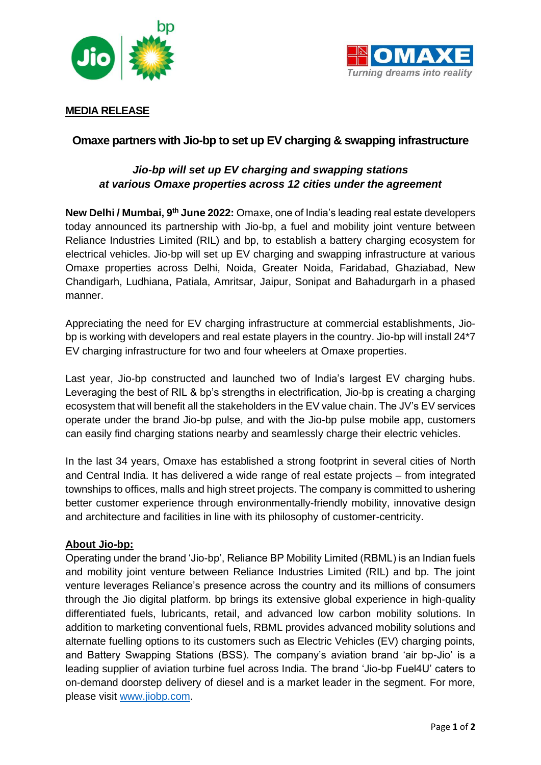



## **MEDIA RELEASE**

## **Omaxe partners with Jio-bp to set up EV charging & swapping infrastructure**

# *Jio-bp will set up EV charging and swapping stations at various Omaxe properties across 12 cities under the agreement*

**New Delhi / Mumbai, 9 th June 2022:** Omaxe, one of India's leading real estate developers today announced its partnership with Jio-bp, a fuel and mobility joint venture between Reliance Industries Limited (RIL) and bp, to establish a battery charging ecosystem for electrical vehicles. Jio-bp will set up EV charging and swapping infrastructure at various Omaxe properties across Delhi, Noida, Greater Noida, Faridabad, Ghaziabad, New Chandigarh, Ludhiana, Patiala, Amritsar, Jaipur, Sonipat and Bahadurgarh in a phased manner.

Appreciating the need for EV charging infrastructure at commercial establishments, Jiobp is working with developers and real estate players in the country. Jio-bp will install 24\*7 EV charging infrastructure for two and four wheelers at Omaxe properties.

Last year, Jio-bp constructed and launched two of India's largest EV charging hubs. Leveraging the best of RIL & bp's strengths in electrification, Jio-bp is creating a charging ecosystem that will benefit all the stakeholders in the EV value chain. The JV's EV services operate under the brand Jio-bp pulse, and with the Jio-bp pulse mobile app, customers can easily find charging stations nearby and seamlessly charge their electric vehicles.

In the last 34 years, Omaxe has established a strong footprint in several cities of North and Central India. It has delivered a wide range of real estate projects – from integrated townships to offices, malls and high street projects. The company is committed to ushering better customer experience through environmentally-friendly mobility, innovative design and architecture and facilities in line with its philosophy of customer-centricity.

### **About Jio-bp:**

Operating under the brand 'Jio-bp', Reliance BP Mobility Limited (RBML) is an Indian fuels and mobility joint venture between Reliance Industries Limited (RIL) and bp. The joint venture leverages Reliance's presence across the country and its millions of consumers through the Jio digital platform. bp brings its extensive global experience in high-quality differentiated fuels, lubricants, retail, and advanced low carbon mobility solutions. In addition to marketing conventional fuels, RBML provides advanced mobility solutions and alternate fuelling options to its customers such as Electric Vehicles (EV) charging points, and Battery Swapping Stations (BSS). The company's aviation brand 'air bp-Jio' is a leading supplier of aviation turbine fuel across India. The brand 'Jio-bp Fuel4U' caters to on-demand doorstep delivery of diesel and is a market leader in the segment. For more, please visit [www.jiobp.com.](http://www.jiobp.com/)